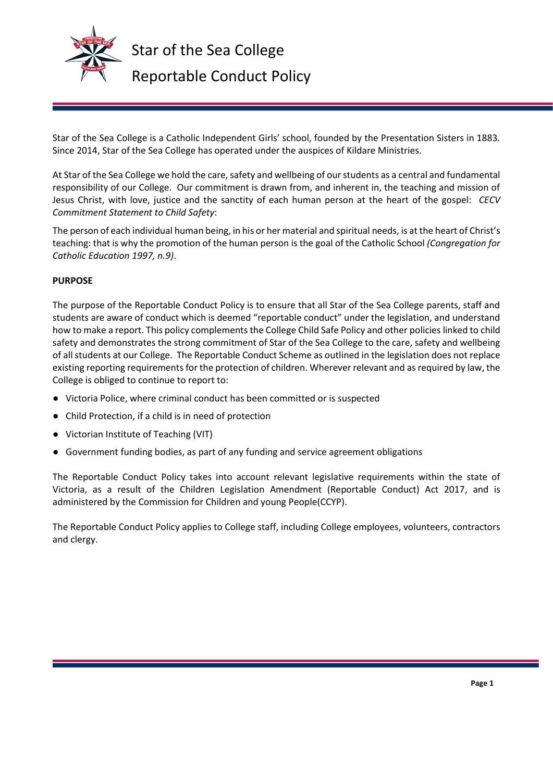

Star of the Sea College is a Catholic Independent Girls' school, founded by the Presentation Sisters in 1883. Since 2014, Star of the Sea College has operated under the auspices of Kildare Ministries.

At Star of the Sea College we hold the care, safety and wellbeing of our students as a central and fundamental responsibility of our College. Our commitment is drawn from, and inherent in, the teaching and mission of Jesus Christ, with love, justice and the sanctity of each human person at the heart of the gospel: *CECV Commitment Statement to Child Safety*:

The person of each individual human being, in his or her material and spiritual needs, is at the heart of Christ's teaching: that is why the promotion of the human person is the goal of the Catholic School *(Congregation for Catholic Education 1997, n.9)*.

## **PURPOSE**

The purpose of the Reportable Conduct Policy is to ensure that all Star of the Sea College parents, staff and students are aware of conduct which is deemed "reportable conduct" under the legislation, and understand how to make a report. This policy complements the College Child Safe Policy and other policies linked to child safety and demonstrates the strong commitment of Star of the Sea College to the care, safety and wellbeing of all students at our College. The Reportable Conduct Scheme as outlined in the legislation does not replace existing reporting requirements for the protection of children. Wherever relevant and as required by law, the College is obliged to continue to report to:

- Victoria Police, where criminal conduct has been committed or is suspected
- Child Protection, if a child is in need of protection
- Victorian Institute of Teaching (VIT)
- Government funding bodies, as part of any funding and service agreement obligations

The Reportable Conduct Policy takes into account relevant legislative requirements within the state of Victoria, as a result of the Children Legislation Amendment (Reportable Conduct) Act 2017, and is administered by the Commission for Children and young People(CCYP).

The Reportable Conduct Policy applies to College staff, including College employees, volunteers, contractors and clergy.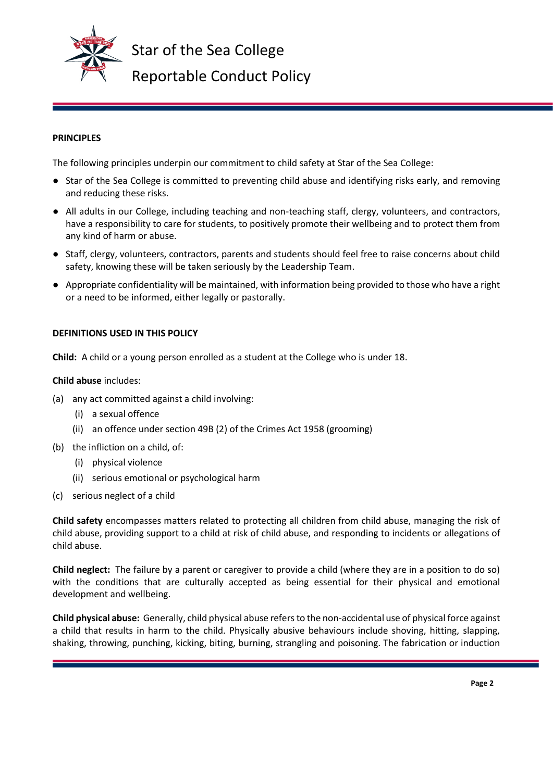

### **PRINCIPLES**

The following principles underpin our commitment to child safety at Star of the Sea College:

- Star of the Sea College is committed to preventing child abuse and identifying risks early, and removing and reducing these risks.
- All adults in our College, including teaching and non-teaching staff, clergy, volunteers, and contractors, have a responsibility to care for students, to positively promote their wellbeing and to protect them from any kind of harm or abuse.
- Staff, clergy, volunteers, contractors, parents and students should feel free to raise concerns about child safety, knowing these will be taken seriously by the Leadership Team.
- Appropriate confidentiality will be maintained, with information being provided to those who have a right or a need to be informed, either legally or pastorally.

#### **DEFINITIONS USED IN THIS POLICY**

**Child:** A child or a young person enrolled as a student at the College who is under 18.

#### **Child abuse** includes:

- (a) any act committed against a child involving:
	- (i) a sexual offence
	- (ii) an offence under section 49B (2) of the Crimes Act 1958 (grooming)
- (b) the infliction on a child, of:
	- (i) physical violence
	- (ii) serious emotional or psychological harm
- (c) serious neglect of a child

**Child safety** encompasses matters related to protecting all children from child abuse, managing the risk of child abuse, providing support to a child at risk of child abuse, and responding to incidents or allegations of child abuse.

**Child neglect:** The failure by a parent or caregiver to provide a child (where they are in a position to do so) with the conditions that are culturally accepted as being essential for their physical and emotional development and wellbeing.

**Child physical abuse:** Generally, child physical abuse refers to the non-accidental use of physical force against a child that results in harm to the child. Physically abusive behaviours include shoving, hitting, slapping, shaking, throwing, punching, kicking, biting, burning, strangling and poisoning. The fabrication or induction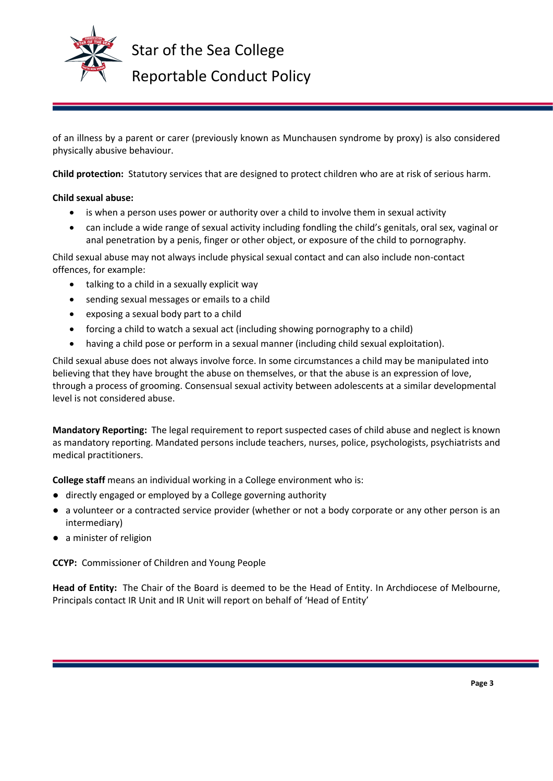

Star of the Sea College Reportable Conduct Policy

of an illness by a parent or carer (previously known as Munchausen syndrome by proxy) is also considered physically abusive behaviour.

**Child protection:** Statutory services that are designed to protect children who are at risk of serious harm.

## **Child sexual abuse:**

- is when a person uses power or authority over a child to involve them in sexual activity
- can include a wide range of sexual activity including fondling the child's genitals, oral sex, vaginal or anal penetration by a penis, finger or other object, or exposure of the child to pornography.

Child sexual abuse may not always include physical sexual contact and can also include non-contact offences, for example:

- talking to a child in a sexually explicit way
- sending sexual messages or emails to a child
- exposing a sexual body part to a child
- forcing a child to watch a sexual act (including showing pornography to a child)
- having a child pose or perform in a sexual manner (including child sexual exploitation).

Child sexual abuse does not always involve force. In some circumstances a child may be manipulated into believing that they have brought the abuse on themselves, or that the abuse is an expression of love, through a process of grooming. Consensual sexual activity between adolescents at a similar developmental level is not considered abuse.

**Mandatory Reporting:** The legal requirement to report suspected cases of child abuse and neglect is known as mandatory reporting. Mandated persons include teachers, nurses, police, psychologists, psychiatrists and medical practitioners.

**College staff** means an individual working in a College environment who is:

- directly engaged or employed by a College governing authority
- a volunteer or a contracted service provider (whether or not a body corporate or any other person is an intermediary)
- a minister of religion

**CCYP:** Commissioner of Children and Young People

**Head of Entity:** The Chair of the Board is deemed to be the Head of Entity. In Archdiocese of Melbourne, Principals contact IR Unit and IR Unit will report on behalf of 'Head of Entity'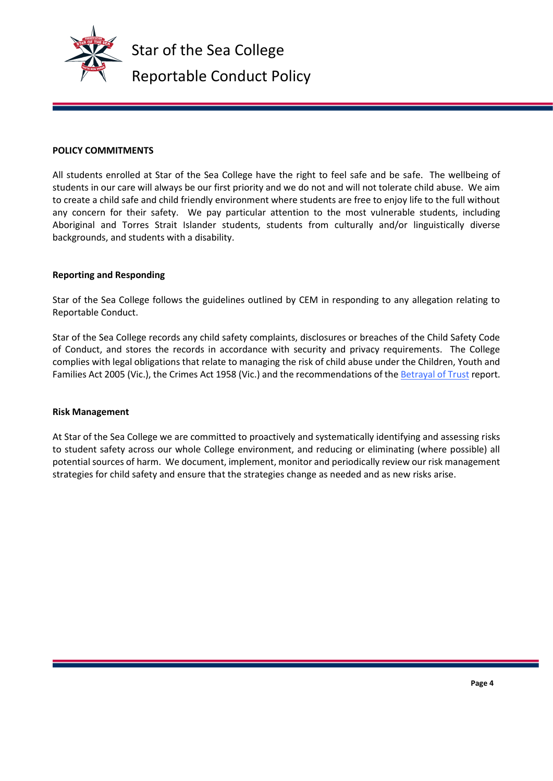

#### **POLICY COMMITMENTS**

All students enrolled at Star of the Sea College have the right to feel safe and be safe. The wellbeing of students in our care will always be our first priority and we do not and will not tolerate child abuse. We aim to create a child safe and child friendly environment where students are free to enjoy life to the full without any concern for their safety. We pay particular attention to the most vulnerable students, including Aboriginal and Torres Strait Islander students, students from culturally and/or linguistically diverse backgrounds, and students with a disability.

#### **Reporting and Responding**

Star of the Sea College follows the guidelines outlined by CEM in responding to any allegation relating to Reportable Conduct.

Star of the Sea College records any child safety complaints, disclosures or breaches of the Child Safety Code of Conduct, and stores the records in accordance with security and privacy requirements. The College complies with legal obligations that relate to managing the risk of child abuse under the Children, Youth and Families Act 2005 (Vic.), the Crimes Act 1958 (Vic.) and the recommendations of th[e Betrayal of Trust](http://www.parliament.vic.gov.au/fcdc/article/1788) report.

#### **Risk Management**

At Star of the Sea College we are committed to proactively and systematically identifying and assessing risks to student safety across our whole College environment, and reducing or eliminating (where possible) all potential sources of harm. We document, implement, monitor and periodically review our risk management strategies for child safety and ensure that the strategies change as needed and as new risks arise.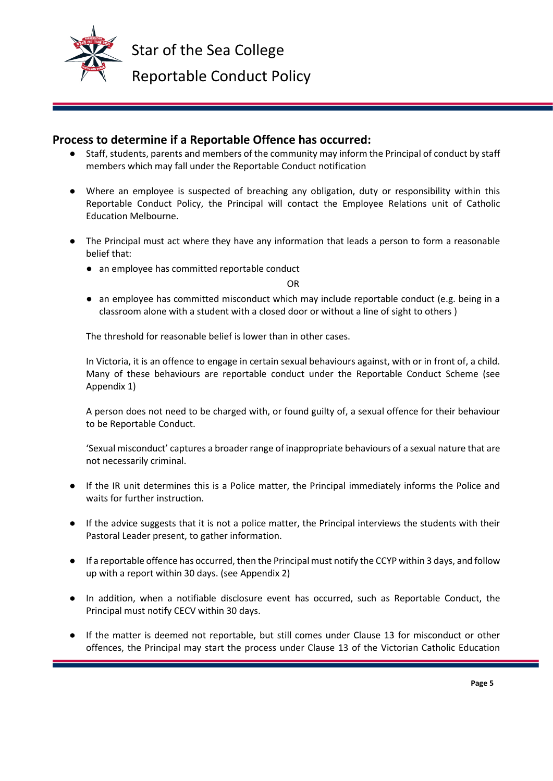

# **Process to determine if a Reportable Offence has occurred:**

- Staff, students, parents and members of the community may inform the Principal of conduct by staff members which may fall under the Reportable Conduct notification
- Where an employee is suspected of breaching any obligation, duty or responsibility within this Reportable Conduct Policy, the Principal will contact the Employee Relations unit of Catholic Education Melbourne.
- The Principal must act where they have any information that leads a person to form a reasonable belief that:
	- an employee has committed reportable conduct

OR

● an employee has committed misconduct which may include reportable conduct (e.g. being in a classroom alone with a student with a closed door or without a line of sight to others )

The threshold for reasonable belief is lower than in other cases.

In Victoria, it is an offence to engage in certain sexual behaviours against, with or in front of, a child. Many of these behaviours are reportable conduct under the Reportable Conduct Scheme (see Appendix 1)

A person does not need to be charged with, or found guilty of, a sexual offence for their behaviour to be Reportable Conduct.

'Sexual misconduct' captures a broader range of inappropriate behaviours of a sexual nature that are not necessarily criminal.

- If the IR unit determines this is a Police matter, the Principal immediately informs the Police and waits for further instruction.
- If the advice suggests that it is not a police matter, the Principal interviews the students with their Pastoral Leader present, to gather information.
- If a reportable offence has occurred, then the Principal must notify the CCYP within 3 days, and follow up with a report within 30 days. (see Appendix 2)
- In addition, when a notifiable disclosure event has occurred, such as Reportable Conduct, the Principal must notify CECV within 30 days.
- If the matter is deemed not reportable, but still comes under Clause 13 for misconduct or other offences, the Principal may start the process under Clause 13 of the Victorian Catholic Education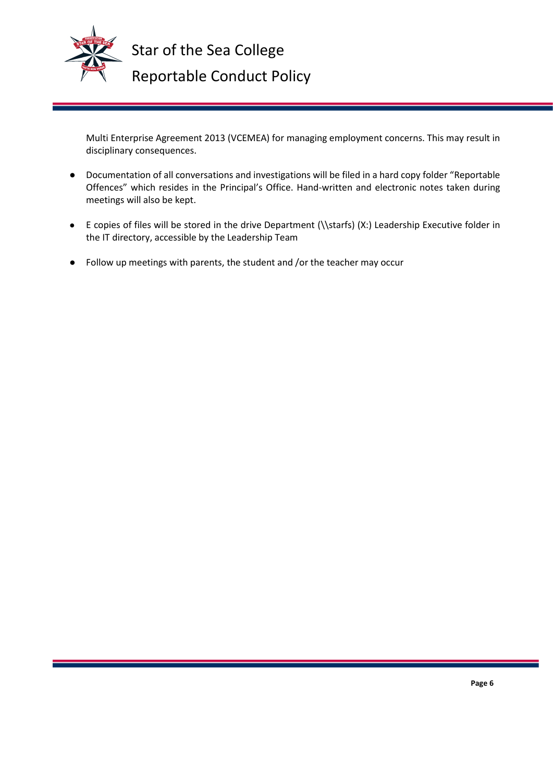

Star of the Sea College Reportable Conduct Policy

Multi Enterprise Agreement 2013 (VCEMEA) for managing employment concerns. This may result in disciplinary consequences.

- Documentation of all conversations and investigations will be filed in a hard copy folder "Reportable Offences" which resides in the Principal's Office. Hand-written and electronic notes taken during meetings will also be kept.
- E copies of files will be stored in the drive Department (\\starfs) (X:) Leadership Executive folder in the IT directory, accessible by the Leadership Team
- Follow up meetings with parents, the student and /or the teacher may occur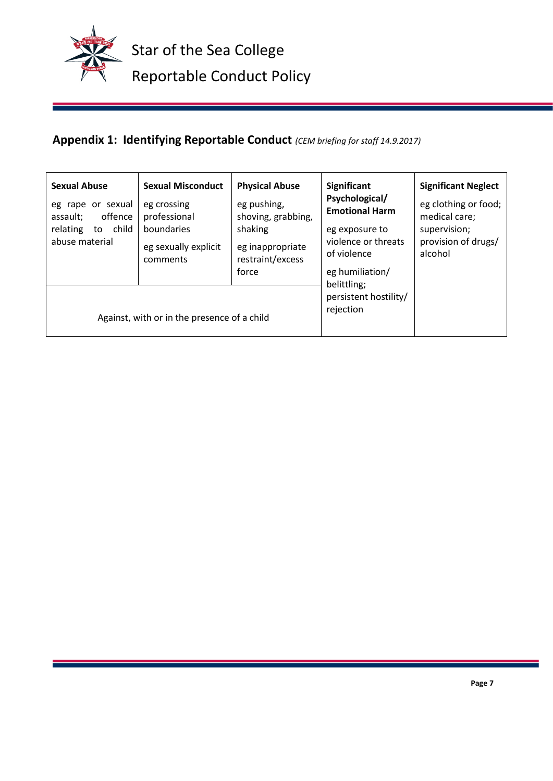

# **Appendix 1: Identifying Reportable Conduct** *(CEM briefing for staff 14.9.2017)*

| <b>Sexual Abuse</b><br>eg rape or sexual<br>offence<br>assault;<br>child<br>relating<br>to<br>abuse material | <b>Sexual Misconduct</b><br>eg crossing<br>professional<br>boundaries<br>eg sexually explicit<br>comments | <b>Physical Abuse</b><br>eg pushing,<br>shoving, grabbing,<br>shaking<br>eg inappropriate<br>restraint/excess<br>force | <b>Significant</b><br>Psychological/<br><b>Emotional Harm</b><br>eg exposure to<br>violence or threats<br>of violence<br>eg humiliation/ | <b>Significant Neglect</b><br>eg clothing or food;<br>medical care;<br>supervision;<br>provision of drugs/<br>alcohol |
|--------------------------------------------------------------------------------------------------------------|-----------------------------------------------------------------------------------------------------------|------------------------------------------------------------------------------------------------------------------------|------------------------------------------------------------------------------------------------------------------------------------------|-----------------------------------------------------------------------------------------------------------------------|
| Against, with or in the presence of a child                                                                  |                                                                                                           |                                                                                                                        | belittling;<br>persistent hostility/<br>rejection                                                                                        |                                                                                                                       |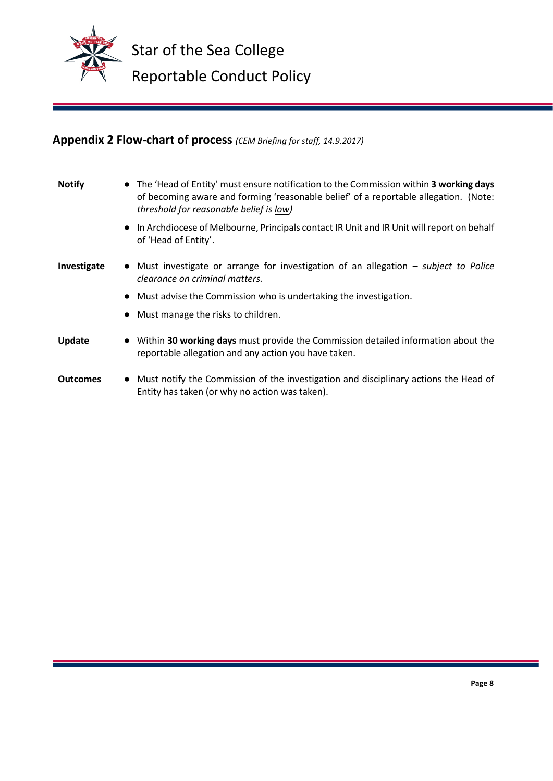

# **Appendix 2 Flow-chart of process** *(CEM Briefing for staff, 14.9.2017)*

| <b>Notify</b>   | • The 'Head of Entity' must ensure notification to the Commission within 3 working days<br>of becoming aware and forming 'reasonable belief' of a reportable allegation. (Note:<br>threshold for reasonable belief is low) |  |  |  |
|-----------------|----------------------------------------------------------------------------------------------------------------------------------------------------------------------------------------------------------------------------|--|--|--|
|                 | • In Archdiocese of Melbourne, Principals contact IR Unit and IR Unit will report on behalf<br>of 'Head of Entity'.                                                                                                        |  |  |  |
| Investigate     | • Must investigate or arrange for investigation of an allegation – subject to Police<br>clearance on criminal matters.                                                                                                     |  |  |  |
|                 | • Must advise the Commission who is undertaking the investigation.                                                                                                                                                         |  |  |  |
|                 | • Must manage the risks to children.                                                                                                                                                                                       |  |  |  |
| Update          | Within 30 working days must provide the Commission detailed information about the<br>reportable allegation and any action you have taken.                                                                                  |  |  |  |
| <b>Outcomes</b> | Must notify the Commission of the investigation and disciplinary actions the Head of<br>$\bullet$<br>Entity has taken (or why no action was taken).                                                                        |  |  |  |